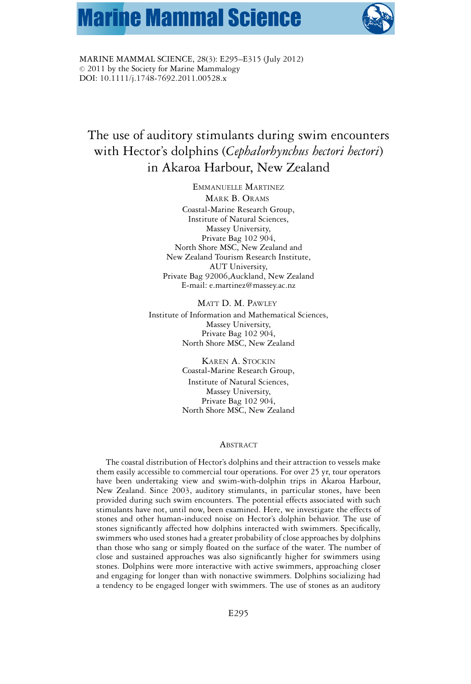# **Marine Mammal Science**



MARINE MAMMAL SCIENCE, 28(3): E295–E315 (July 2012)  $© 2011$  by the Society for Marine Mammalogy DOI: 10.1111/j.1748-7692.2011.00528.x

# The use of auditory stimulants during swim encounters with Hector's dolphins (*Cephalorhynchus hectori hectori*) in Akaroa Harbour, New Zealand

EMMANUELLE MARTINEZ MARK B. ORAMS Coastal-Marine Research Group, Institute of Natural Sciences, Massey University, Private Bag 102 904, North Shore MSC, New Zealand and New Zealand Tourism Research Institute, AUT University, Private Bag 92006,Auckland, New Zealand E-mail: e.martinez@massey.ac.nz

MATT D. M. PAWLEY Institute of Information and Mathematical Sciences, Massey University, Private Bag 102 904, North Shore MSC, New Zealand

> KAREN A. STOCKIN Coastal-Marine Research Group, Institute of Natural Sciences, Massey University, Private Bag 102 904, North Shore MSC, New Zealand

# **ABSTRACT**

The coastal distribution of Hector's dolphins and their attraction to vessels make them easily accessible to commercial tour operations. For over 25 yr, tour operators have been undertaking view and swim-with-dolphin trips in Akaroa Harbour, New Zealand. Since 2003, auditory stimulants, in particular stones, have been provided during such swim encounters. The potential effects associated with such stimulants have not, until now, been examined. Here, we investigate the effects of stones and other human-induced noise on Hector's dolphin behavior. The use of stones significantly affected how dolphins interacted with swimmers. Specifically, swimmers who used stones had a greater probability of close approaches by dolphins than those who sang or simply floated on the surface of the water. The number of close and sustained approaches was also significantly higher for swimmers using stones. Dolphins were more interactive with active swimmers, approaching closer and engaging for longer than with nonactive swimmers. Dolphins socializing had a tendency to be engaged longer with swimmers. The use of stones as an auditory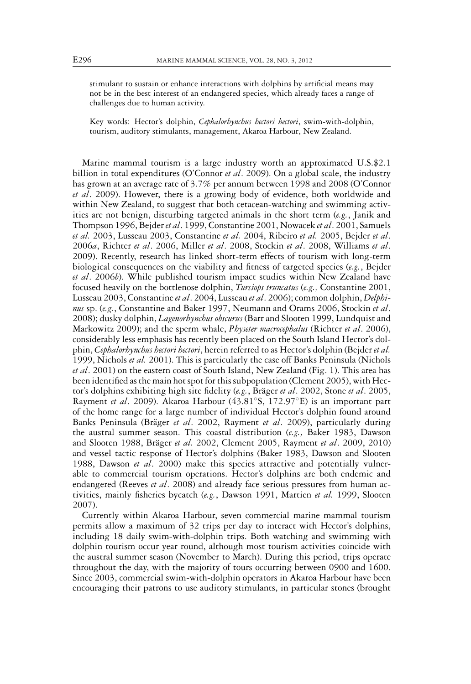stimulant to sustain or enhance interactions with dolphins by artificial means may not be in the best interest of an endangered species, which already faces a range of challenges due to human activity.

Key words: Hector's dolphin, *Cephalorhynchus hectori hectori*, swim-with-dolphin, tourism, auditory stimulants, management, Akaroa Harbour, New Zealand.

Marine mammal tourism is a large industry worth an approximated U.S.\$2.1 billion in total expenditures (O'Connor *et al*. 2009). On a global scale, the industry has grown at an average rate of 3.7% per annum between 1998 and 2008 (O'Connor *et al*. 2009). However, there is a growing body of evidence, both worldwide and within New Zealand, to suggest that both cetacean-watching and swimming activities are not benign, disturbing targeted animals in the short term (*e.g.*, Janik and Thompson 1996, Bejder*et al*. 1999, Constantine 2001, Nowacek *et al*. 2001, Samuels *et al.* 2003, Lusseau 2003, Constantine *et al.* 2004, Ribeiro *et al.* 2005, Bejder *et al*. 2006*a*, Richter *et al*. 2006, Miller *et al*. 2008, Stockin *et al*. 2008, Williams *et al*. 2009). Recently, research has linked short-term effects of tourism with long-term biological consequences on the viability and fitness of targeted species (*e.g.*, Bejder *et al*. 2006*b*). While published tourism impact studies within New Zealand have focused heavily on the bottlenose dolphin, *Tursiops truncatus* (*e.g.,* Constantine 2001, Lusseau 2003, Constantine*et al*. 2004, Lusseau *et al*. 2006); common dolphin, *Delphinus* sp. (*e.g.*, Constantine and Baker 1997, Neumann and Orams 2006, Stockin *et al*. 2008); dusky dolphin, *Lagenorhynchus obscurus* (Barr and Slooten 1999, Lundquist and Markowitz 2009); and the sperm whale, *Physeter macrocephalus* (Richter *et al*. 2006), considerably less emphasis has recently been placed on the South Island Hector's dolphin, *Cephalorhynchus hectori hectori*, herein referred to as Hector's dolphin (Bejder *et al.* 1999, Nichols *et al.* 2001). This is particularly the case off Banks Peninsula (Nichols *et al*. 2001) on the eastern coast of South Island, New Zealand (Fig. 1). This area has been identified as the main hot spot for this subpopulation (Clement 2005), with Hector's dolphins exhibiting high site fidelity (*e.g.*, Bräger *et al.* 2002, Stone *et al.* 2005, Rayment *et al*. 2009). Akaroa Harbour (43.81◦S, 172.97◦E) is an important part of the home range for a large number of individual Hector's dolphin found around Banks Peninsula (Bräger et al. 2002, Rayment et al. 2009), particularly during the austral summer season. This coastal distribution (*e.g.,* Baker 1983, Dawson and Slooten 1988, Bräger et al. 2002, Clement 2005, Rayment et al. 2009, 2010) and vessel tactic response of Hector's dolphins (Baker 1983, Dawson and Slooten 1988, Dawson *et al*. 2000) make this species attractive and potentially vulnerable to commercial tourism operations. Hector's dolphins are both endemic and endangered (Reeves *et al*. 2008) and already face serious pressures from human activities, mainly fisheries bycatch (*e.g.*, Dawson 1991, Martien *et al.* 1999, Slooten 2007).

Currently within Akaroa Harbour, seven commercial marine mammal tourism permits allow a maximum of 32 trips per day to interact with Hector's dolphins, including 18 daily swim-with-dolphin trips. Both watching and swimming with dolphin tourism occur year round, although most tourism activities coincide with the austral summer season (November to March). During this period, trips operate throughout the day, with the majority of tours occurring between 0900 and 1600. Since 2003, commercial swim-with-dolphin operators in Akaroa Harbour have been encouraging their patrons to use auditory stimulants, in particular stones (brought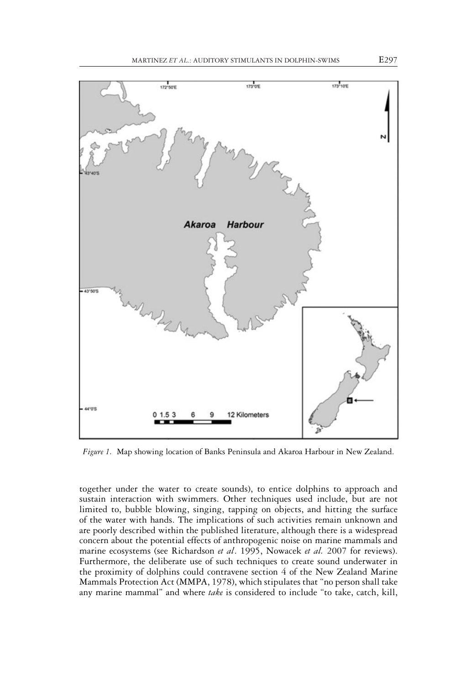

*Figure 1.* Map showing location of Banks Peninsula and Akaroa Harbour in New Zealand.

together under the water to create sounds), to entice dolphins to approach and sustain interaction with swimmers. Other techniques used include, but are not limited to, bubble blowing, singing, tapping on objects, and hitting the surface of the water with hands. The implications of such activities remain unknown and are poorly described within the published literature, although there is a widespread concern about the potential effects of anthropogenic noise on marine mammals and marine ecosystems (see Richardson *et al*. 1995, Nowacek *et al.* 2007 for reviews). Furthermore, the deliberate use of such techniques to create sound underwater in the proximity of dolphins could contravene section 4 of the New Zealand Marine Mammals Protection Act (MMPA, 1978), which stipulates that "no person shall take any marine mammal" and where *take* is considered to include "to take, catch, kill,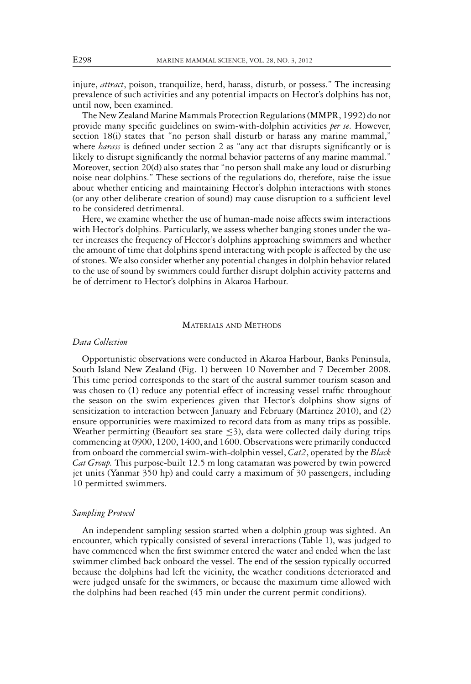injure, *attract*, poison, tranquilize, herd, harass, disturb, or possess." The increasing prevalence of such activities and any potential impacts on Hector's dolphins has not, until now, been examined.

The New Zealand Marine Mammals Protection Regulations (MMPR, 1992) do not provide many specific guidelines on swim-with-dolphin activities *per se*. However, section 18(i) states that "no person shall disturb or harass any marine mammal," where *harass* is defined under section 2 as "any act that disrupts significantly or is likely to disrupt significantly the normal behavior patterns of any marine mammal." Moreover, section 20(d) also states that "no person shall make any loud or disturbing noise near dolphins." These sections of the regulations do, therefore, raise the issue about whether enticing and maintaining Hector's dolphin interactions with stones (or any other deliberate creation of sound) may cause disruption to a sufficient level to be considered detrimental.

Here, we examine whether the use of human-made noise affects swim interactions with Hector's dolphins. Particularly, we assess whether banging stones under the water increases the frequency of Hector's dolphins approaching swimmers and whether the amount of time that dolphins spend interacting with people is affected by the use of stones. We also consider whether any potential changes in dolphin behavior related to the use of sound by swimmers could further disrupt dolphin activity patterns and be of detriment to Hector's dolphins in Akaroa Harbour.

# MATERIALS AND METHODS

## *Data Collection*

Opportunistic observations were conducted in Akaroa Harbour, Banks Peninsula, South Island New Zealand (Fig. 1) between 10 November and 7 December 2008. This time period corresponds to the start of the austral summer tourism season and was chosen to (1) reduce any potential effect of increasing vessel traffic throughout the season on the swim experiences given that Hector's dolphins show signs of sensitization to interaction between January and February (Martinez 2010), and (2) ensure opportunities were maximized to record data from as many trips as possible. Weather permitting (Beaufort sea state  $\leq$ 3), data were collected daily during trips commencing at 0900, 1200, 1400, and 1600. Observations were primarily conducted from onboard the commercial swim-with-dolphin vessel, *Cat2*, operated by the *Black Cat Group.* This purpose-built 12.5 m long catamaran was powered by twin powered jet units (Yanmar 350 hp) and could carry a maximum of 30 passengers, including 10 permitted swimmers.

## *Sampling Protocol*

An independent sampling session started when a dolphin group was sighted. An encounter, which typically consisted of several interactions (Table 1), was judged to have commenced when the first swimmer entered the water and ended when the last swimmer climbed back onboard the vessel. The end of the session typically occurred because the dolphins had left the vicinity, the weather conditions deteriorated and were judged unsafe for the swimmers, or because the maximum time allowed with the dolphins had been reached (45 min under the current permit conditions).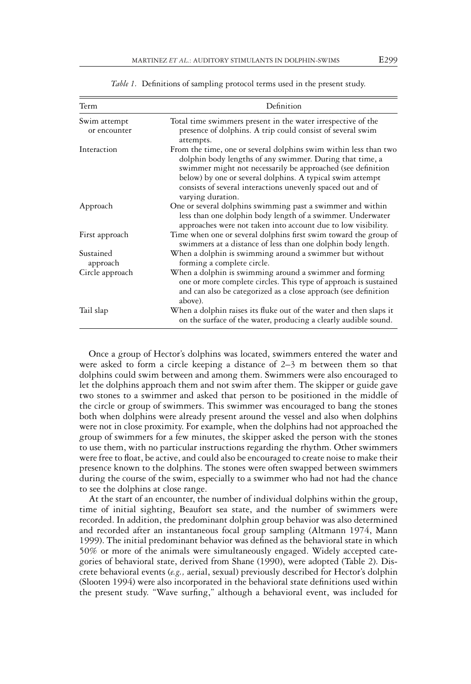| Term                         | Definition                                                                                                                                                                                                                                                                                                                                   |
|------------------------------|----------------------------------------------------------------------------------------------------------------------------------------------------------------------------------------------------------------------------------------------------------------------------------------------------------------------------------------------|
| Swim attempt<br>or encounter | Total time swimmers present in the water irrespective of the<br>presence of dolphins. A trip could consist of several swim<br>attempts.                                                                                                                                                                                                      |
| Interaction                  | From the time, one or several dolphins swim within less than two<br>dolphin body lengths of any swimmer. During that time, a<br>swimmer might not necessarily be approached (see definition<br>below) by one or several dolphins. A typical swim attempt<br>consists of several interactions unevenly spaced out and of<br>varying duration. |
| Approach                     | One or several dolphins swimming past a swimmer and within<br>less than one dolphin body length of a swimmer. Underwater<br>approaches were not taken into account due to low visibility.                                                                                                                                                    |
| First approach               | Time when one or several dolphins first swim toward the group of<br>swimmers at a distance of less than one dolphin body length.                                                                                                                                                                                                             |
| Sustained<br>approach        | When a dolphin is swimming around a swimmer but without<br>forming a complete circle.                                                                                                                                                                                                                                                        |
| Circle approach              | When a dolphin is swimming around a swimmer and forming<br>one or more complete circles. This type of approach is sustained<br>and can also be categorized as a close approach (see definition<br>above).                                                                                                                                    |
| Tail slap                    | When a dolphin raises its fluke out of the water and then slaps it<br>on the surface of the water, producing a clearly audible sound.                                                                                                                                                                                                        |

*Table 1.* Definitions of sampling protocol terms used in the present study.

Once a group of Hector's dolphins was located, swimmers entered the water and were asked to form a circle keeping a distance of 2–3 m between them so that dolphins could swim between and among them. Swimmers were also encouraged to let the dolphins approach them and not swim after them. The skipper or guide gave two stones to a swimmer and asked that person to be positioned in the middle of the circle or group of swimmers. This swimmer was encouraged to bang the stones both when dolphins were already present around the vessel and also when dolphins were not in close proximity. For example, when the dolphins had not approached the group of swimmers for a few minutes, the skipper asked the person with the stones to use them, with no particular instructions regarding the rhythm. Other swimmers were free to float, be active, and could also be encouraged to create noise to make their presence known to the dolphins. The stones were often swapped between swimmers during the course of the swim, especially to a swimmer who had not had the chance to see the dolphins at close range.

At the start of an encounter, the number of individual dolphins within the group, time of initial sighting, Beaufort sea state, and the number of swimmers were recorded. In addition, the predominant dolphin group behavior was also determined and recorded after an instantaneous focal group sampling (Altmann 1974, Mann 1999). The initial predominant behavior was defined as the behavioral state in which 50% or more of the animals were simultaneously engaged. Widely accepted categories of behavioral state, derived from Shane (1990), were adopted (Table 2). Discrete behavioral events (*e.g.,* aerial, sexual) previously described for Hector's dolphin (Slooten 1994) were also incorporated in the behavioral state definitions used within the present study. "Wave surfing," although a behavioral event, was included for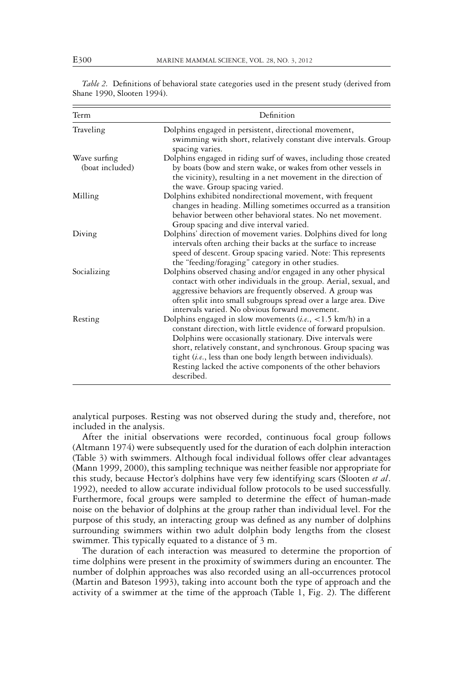| Term                            | Definition                                                                                                                                                                                                                                                                                                                                                                                                          |
|---------------------------------|---------------------------------------------------------------------------------------------------------------------------------------------------------------------------------------------------------------------------------------------------------------------------------------------------------------------------------------------------------------------------------------------------------------------|
| Traveling                       | Dolphins engaged in persistent, directional movement,<br>swimming with short, relatively constant dive intervals. Group<br>spacing varies.                                                                                                                                                                                                                                                                          |
| Wave surfing<br>(boat included) | Dolphins engaged in riding surf of waves, including those created<br>by boats (bow and stern wake, or wakes from other vessels in<br>the vicinity), resulting in a net movement in the direction of<br>the wave. Group spacing varied.                                                                                                                                                                              |
| Milling                         | Dolphins exhibited nondirectional movement, with frequent<br>changes in heading. Milling sometimes occurred as a transition<br>behavior between other behavioral states. No net movement.<br>Group spacing and dive interval varied.                                                                                                                                                                                |
| Diving                          | Dolphins' direction of movement varies. Dolphins dived for long<br>intervals often arching their backs at the surface to increase<br>speed of descent. Group spacing varied. Note: This represents<br>the "feeding/foraging" category in other studies.                                                                                                                                                             |
| Socializing                     | Dolphins observed chasing and/or engaged in any other physical<br>contact with other individuals in the group. Aerial, sexual, and<br>aggressive behaviors are frequently observed. A group was<br>often split into small subgroups spread over a large area. Dive<br>intervals varied. No obvious forward movement.                                                                                                |
| Resting                         | Dolphins engaged in slow movements $(i.e., <1.5 \text{ km/h})$ in a<br>constant direction, with little evidence of forward propulsion.<br>Dolphins were occasionally stationary. Dive intervals were<br>short, relatively constant, and synchronous. Group spacing was<br>tight (i.e., less than one body length between individuals).<br>Resting lacked the active components of the other behaviors<br>described. |

*Table 2.* Definitions of behavioral state categories used in the present study (derived from Shane 1990, Slooten 1994).

analytical purposes. Resting was not observed during the study and, therefore, not included in the analysis.

After the initial observations were recorded, continuous focal group follows (Altmann 1974) were subsequently used for the duration of each dolphin interaction (Table 3) with swimmers. Although focal individual follows offer clear advantages (Mann 1999, 2000), this sampling technique was neither feasible nor appropriate for this study, because Hector's dolphins have very few identifying scars (Slooten *et al*. 1992), needed to allow accurate individual follow protocols to be used successfully. Furthermore, focal groups were sampled to determine the effect of human-made noise on the behavior of dolphins at the group rather than individual level. For the purpose of this study, an interacting group was defined as any number of dolphins surrounding swimmers within two adult dolphin body lengths from the closest swimmer. This typically equated to a distance of 3 m.

The duration of each interaction was measured to determine the proportion of time dolphins were present in the proximity of swimmers during an encounter. The number of dolphin approaches was also recorded using an all-occurrences protocol (Martin and Bateson 1993), taking into account both the type of approach and the activity of a swimmer at the time of the approach (Table 1, Fig. 2). The different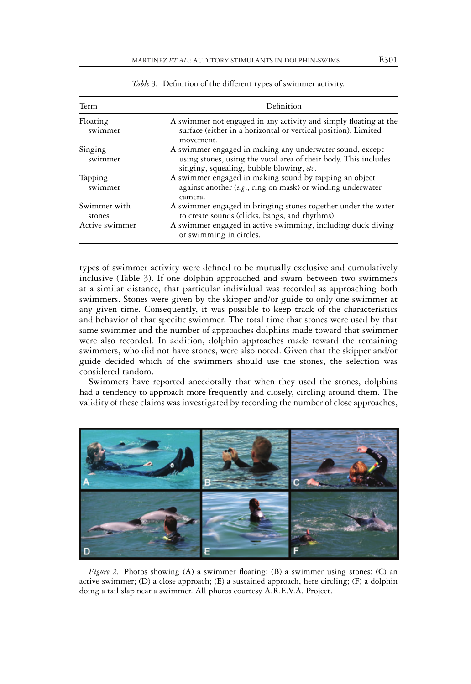| Term                                     | Definition                                                                                                                                                                                                |
|------------------------------------------|-----------------------------------------------------------------------------------------------------------------------------------------------------------------------------------------------------------|
| Floating<br>swimmer                      | A swimmer not engaged in any activity and simply floating at the<br>surface (either in a horizontal or vertical position). Limited<br>movement.                                                           |
| Singing<br>swimmer                       | A swimmer engaged in making any underwater sound, except<br>using stones, using the vocal area of their body. This includes<br>singing, squealing, bubble blowing, etc.                                   |
| Tapping<br>swimmer                       | A swimmer engaged in making sound by tapping an object<br>against another $(e.g., ring on mask)$ or winding underwater<br>camera.                                                                         |
| Swimmer with<br>stones<br>Active swimmer | A swimmer engaged in bringing stones together under the water<br>to create sounds (clicks, bangs, and rhythms).<br>A swimmer engaged in active swimming, including duck diving<br>or swimming in circles. |

*Table 3.* Definition of the different types of swimmer activity.

types of swimmer activity were defined to be mutually exclusive and cumulatively inclusive (Table 3). If one dolphin approached and swam between two swimmers at a similar distance, that particular individual was recorded as approaching both swimmers. Stones were given by the skipper and/or guide to only one swimmer at any given time. Consequently, it was possible to keep track of the characteristics and behavior of that specific swimmer. The total time that stones were used by that same swimmer and the number of approaches dolphins made toward that swimmer were also recorded. In addition, dolphin approaches made toward the remaining swimmers, who did not have stones, were also noted. Given that the skipper and/or guide decided which of the swimmers should use the stones, the selection was considered random.

Swimmers have reported anecdotally that when they used the stones, dolphins had a tendency to approach more frequently and closely, circling around them. The validity of these claims was investigated by recording the number of close approaches,



*Figure 2.* Photos showing (A) a swimmer floating; (B) a swimmer using stones; (C) an active swimmer;  $(D)$  a close approach;  $(E)$  a sustained approach, here circling;  $(F)$  a dolphin doing a tail slap near a swimmer. All photos courtesy A.R.E.V.A. Project.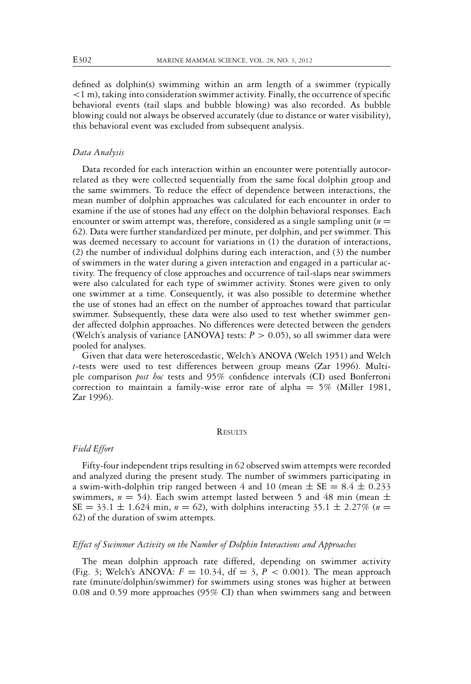defined as dolphin(s) swimming within an arm length of a swimmer (typically *<*1 m), taking into consideration swimmer activity. Finally, the occurrence of specific behavioral events (tail slaps and bubble blowing) was also recorded. As bubble blowing could not always be observed accurately (due to distance or water visibility), this behavioral event was excluded from subsequent analysis.

# *Data Analysis*

Data recorded for each interaction within an encounter were potentially autocorrelated as they were collected sequentially from the same focal dolphin group and the same swimmers. To reduce the effect of dependence between interactions, the mean number of dolphin approaches was calculated for each encounter in order to examine if the use of stones had any effect on the dolphin behavioral responses. Each encounter or swim attempt was, therefore, considered as a single sampling unit ( $n =$ 62). Data were further standardized per minute, per dolphin, and per swimmer. This was deemed necessary to account for variations in (1) the duration of interactions, (2) the number of individual dolphins during each interaction, and (3) the number of swimmers in the water during a given interaction and engaged in a particular activity. The frequency of close approaches and occurrence of tail-slaps near swimmers were also calculated for each type of swimmer activity. Stones were given to only one swimmer at a time. Consequently, it was also possible to determine whether the use of stones had an effect on the number of approaches toward that particular swimmer. Subsequently, these data were also used to test whether swimmer gender affected dolphin approaches. No differences were detected between the genders (Welch's analysis of variance  $[ANOVA]$  tests:  $P > 0.05$ ), so all swimmer data were pooled for analyses.

Given that data were heteroscedastic, Welch's ANOVA (Welch 1951) and Welch *t*-tests were used to test differences between group means (Zar 1996). Multiple comparison *post hoc* tests and 95% confidence intervals (CI) used Bonferroni correction to maintain a family-wise error rate of alpha  $= 5\%$  (Miller 1981, Zar 1996).

# **RESULTS**

## *Field Effort*

Fifty-four independent trips resulting in 62 observed swim attempts were recorded and analyzed during the present study. The number of swimmers participating in a swim-with-dolphin trip ranged between 4 and 10 (mean  $\pm$  SE = 8.4  $\pm$  0.233 swimmers,  $n = 54$ ). Each swim attempt lasted between 5 and 48 min (mean  $\pm$  $SE = 33.1 \pm 1.624$  min,  $n = 62$ ), with dolphins interacting 35.1  $\pm$  2.27% ( $n =$ 62) of the duration of swim attempts.

# *Effect of Swimmer Activity on the Number of Dolphin Interactions and Approaches*

The mean dolphin approach rate differed, depending on swimmer activity (Fig. 3; Welch's ANOVA:  $F = 10.34$ ,  $df = 3$ ,  $P < 0.001$ ). The mean approach rate (minute/dolphin/swimmer) for swimmers using stones was higher at between 0.08 and 0.59 more approaches (95% CI) than when swimmers sang and between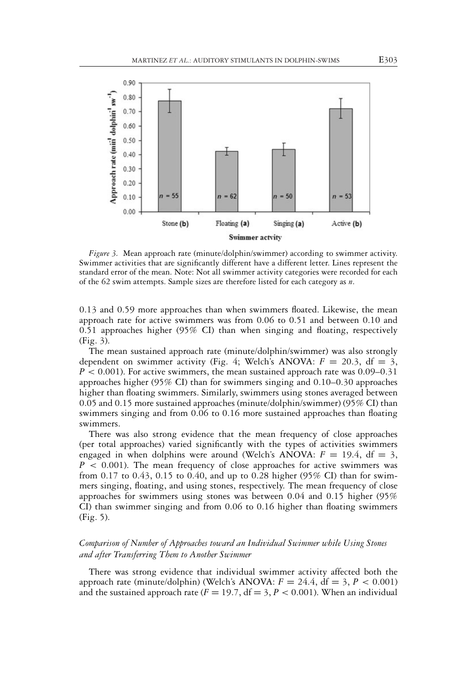

*Figure 3.* Mean approach rate (minute/dolphin/swimmer) according to swimmer activity. Swimmer activities that are significantly different have a different letter. Lines represent the standard error of the mean. Note: Not all swimmer activity categories were recorded for each of the 62 swim attempts. Sample sizes are therefore listed for each category as *n*.

0.13 and 0.59 more approaches than when swimmers floated. Likewise, the mean approach rate for active swimmers was from 0.06 to 0.51 and between 0.10 and 0.51 approaches higher (95% CI) than when singing and floating, respectively (Fig. 3).

The mean sustained approach rate (minute/dolphin/swimmer) was also strongly dependent on swimmer activity (Fig. 4; Welch's ANOVA:  $F = 20.3$ , df = 3, *P <* 0.001). For active swimmers, the mean sustained approach rate was 0.09–0.31 approaches higher (95% CI) than for swimmers singing and 0.10–0.30 approaches higher than floating swimmers. Similarly, swimmers using stones averaged between 0.05 and 0.15 more sustained approaches (minute/dolphin/swimmer) (95% CI) than swimmers singing and from 0.06 to 0.16 more sustained approaches than floating swimmers.

There was also strong evidence that the mean frequency of close approaches (per total approaches) varied significantly with the types of activities swimmers engaged in when dolphins were around (Welch's ANOVA:  $F = 19.4$ , df = 3, *P <* 0.001). The mean frequency of close approaches for active swimmers was from 0.17 to 0.43, 0.15 to 0.40, and up to 0.28 higher (95% CI) than for swimmers singing, floating, and using stones, respectively. The mean frequency of close approaches for swimmers using stones was between 0.04 and 0.15 higher (95% CI) than swimmer singing and from 0.06 to 0.16 higher than floating swimmers (Fig. 5).

# *Comparison of Number of Approaches toward an Individual Swimmer while Using Stones and after Transferring Them to Another Swimmer*

There was strong evidence that individual swimmer activity affected both the approach rate (minute/dolphin) (Welch's ANOVA:  $F = 24.4$ , df = 3,  $P < 0.001$ ) and the sustained approach rate  $(F = 19.7, df = 3, P < 0.001)$ . When an individual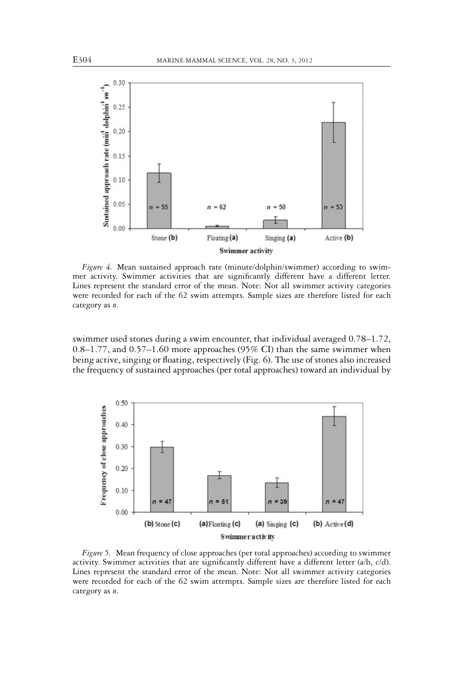

*Figure 4.* Mean sustained approach rate (minute/dolphin/swimmer) according to swimmer activity. Swimmer activities that are significantly different have a different letter. Lines represent the standard error of the mean. Note: Not all swimmer activity categories were recorded for each of the 62 swim attempts. Sample sizes are therefore listed for each category as *n*.

swimmer used stones during a swim encounter, that individual averaged 0.78–1.72, 0.8–1.77, and 0.57–1.60 more approaches (95% CI) than the same swimmer when being active, singing or floating, respectively (Fig. 6). The use of stones also increased the frequency of sustained approaches (per total approaches) toward an individual by



*Figure 5.* Mean frequency of close approaches (per total approaches) according to swimmer activity. Swimmer activities that are significantly different have a different letter (a/b, c/d). Lines represent the standard error of the mean. Note: Not all swimmer activity categories were recorded for each of the 62 swim attempts. Sample sizes are therefore listed for each category as *n*.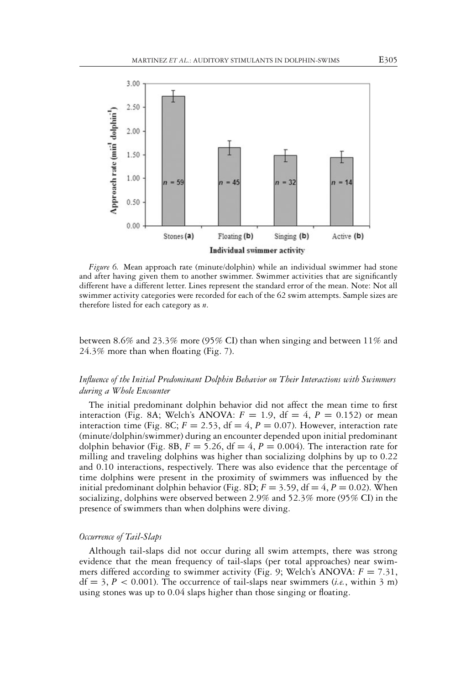

*Figure 6.* Mean approach rate (minute/dolphin) while an individual swimmer had stone and after having given them to another swimmer. Swimmer activities that are significantly different have a different letter. Lines represent the standard error of the mean. Note: Not all swimmer activity categories were recorded for each of the 62 swim attempts. Sample sizes are therefore listed for each category as *n*.

between 8.6% and 23.3% more (95% CI) than when singing and between 11% and 24.3% more than when floating (Fig. 7).

# *Influence of the Initial Predominant Dolphin Behavior on Their Interactions with Swimmers during a Whole Encounter*

The initial predominant dolphin behavior did not affect the mean time to first interaction (Fig. 8A; Welch's ANOVA:  $F = 1.9$ , df = 4,  $P = 0.152$ ) or mean interaction time (Fig. 8C;  $F = 2.53$ ,  $df = 4$ ,  $P = 0.07$ ). However, interaction rate (minute/dolphin/swimmer) during an encounter depended upon initial predominant dolphin behavior (Fig. 8B,  $F = 5.26$ ,  $df = 4$ ,  $P = 0.004$ ). The interaction rate for milling and traveling dolphins was higher than socializing dolphins by up to 0.22 and 0.10 interactions, respectively. There was also evidence that the percentage of time dolphins were present in the proximity of swimmers was influenced by the initial predominant dolphin behavior (Fig. 8D;  $F = 3.59$ ,  $df = 4$ ,  $P = 0.02$ ). When socializing, dolphins were observed between 2.9% and 52.3% more (95% CI) in the presence of swimmers than when dolphins were diving.

# *Occurrence of Tail-Slaps*

Although tail-slaps did not occur during all swim attempts, there was strong evidence that the mean frequency of tail-slaps (per total approaches) near swimmers differed according to swimmer activity (Fig. 9; Welch's ANOVA:  $F = 7.31$ ,  $df = 3, P < 0.001$ ). The occurrence of tail-slaps near swimmers (*i.e.*, within 3 m) using stones was up to 0.04 slaps higher than those singing or floating.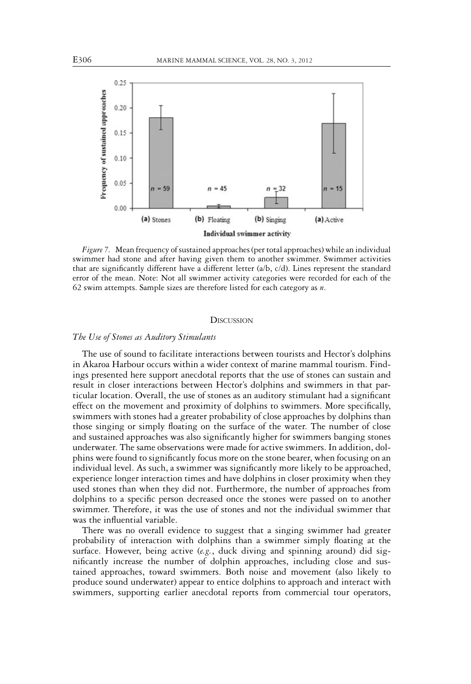

*Figure 7.* Mean frequency of sustained approaches (per total approaches) while an individual swimmer had stone and after having given them to another swimmer. Swimmer activities that are significantly different have a different letter (a/b, c/d). Lines represent the standard error of the mean. Note: Not all swimmer activity categories were recorded for each of the 62 swim attempts. Sample sizes are therefore listed for each category as *n*.

## **DISCUSSION**

#### *The Use of Stones as Auditory Stimulants*

The use of sound to facilitate interactions between tourists and Hector's dolphins in Akaroa Harbour occurs within a wider context of marine mammal tourism. Findings presented here support anecdotal reports that the use of stones can sustain and result in closer interactions between Hector's dolphins and swimmers in that particular location. Overall, the use of stones as an auditory stimulant had a significant effect on the movement and proximity of dolphins to swimmers. More specifically, swimmers with stones had a greater probability of close approaches by dolphins than those singing or simply floating on the surface of the water. The number of close and sustained approaches was also significantly higher for swimmers banging stones underwater. The same observations were made for active swimmers. In addition, dolphins were found to significantly focus more on the stone bearer, when focusing on an individual level. As such, a swimmer was significantly more likely to be approached, experience longer interaction times and have dolphins in closer proximity when they used stones than when they did not. Furthermore, the number of approaches from dolphins to a specific person decreased once the stones were passed on to another swimmer. Therefore, it was the use of stones and not the individual swimmer that was the influential variable.

There was no overall evidence to suggest that a singing swimmer had greater probability of interaction with dolphins than a swimmer simply floating at the surface. However, being active (*e.g.*, duck diving and spinning around) did significantly increase the number of dolphin approaches, including close and sustained approaches, toward swimmers. Both noise and movement (also likely to produce sound underwater) appear to entice dolphins to approach and interact with swimmers, supporting earlier anecdotal reports from commercial tour operators,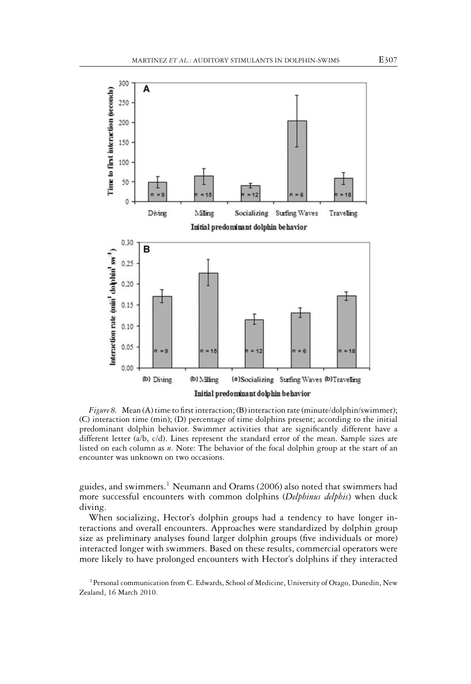

*Figure 8.* Mean (A) time to first interaction; (B) interaction rate (minute/dolphin/swimmer); (C) interaction time (min); (D) percentage of time dolphins present; according to the initial predominant dolphin behavior. Swimmer activities that are significantly different have a different letter (a/b, c/d). Lines represent the standard error of the mean. Sample sizes are listed on each column as *n*. Note: The behavior of the focal dolphin group at the start of an encounter was unknown on two occasions.

guides, and swimmers.<sup>1</sup> Neumann and Orams (2006) also noted that swimmers had more successful encounters with common dolphins (*Delphinus delphis*) when duck diving.

When socializing, Hector's dolphin groups had a tendency to have longer interactions and overall encounters. Approaches were standardized by dolphin group size as preliminary analyses found larger dolphin groups (five individuals or more) interacted longer with swimmers. Based on these results, commercial operators were more likely to have prolonged encounters with Hector's dolphins if they interacted

<sup>&</sup>lt;sup>1</sup> Personal communication from C. Edwards, School of Medicine, University of Otago, Dunedin, New Zealand, 16 March 2010.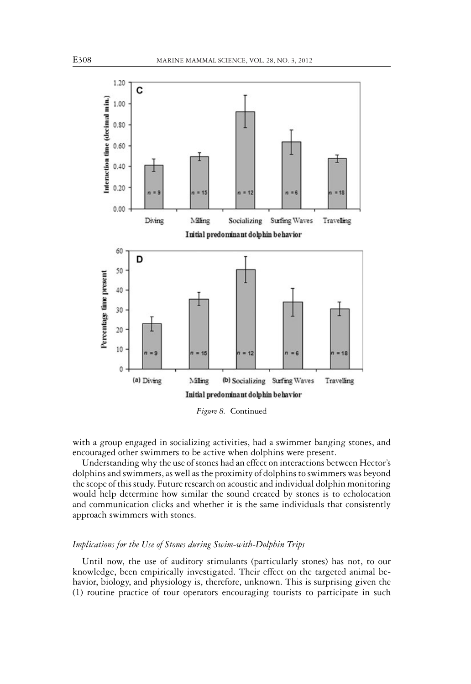

*Figure 8.* Continued

with a group engaged in socializing activities, had a swimmer banging stones, and encouraged other swimmers to be active when dolphins were present.

Understanding why the use of stones had an effect on interactions between Hector's dolphins and swimmers, as well as the proximity of dolphins to swimmers was beyond the scope of this study. Future research on acoustic and individual dolphin monitoring would help determine how similar the sound created by stones is to echolocation and communication clicks and whether it is the same individuals that consistently approach swimmers with stones.

# *Implications for the Use of Stones during Swim-with-Dolphin Trips*

Until now, the use of auditory stimulants (particularly stones) has not, to our knowledge, been empirically investigated. Their effect on the targeted animal behavior, biology, and physiology is, therefore, unknown. This is surprising given the (1) routine practice of tour operators encouraging tourists to participate in such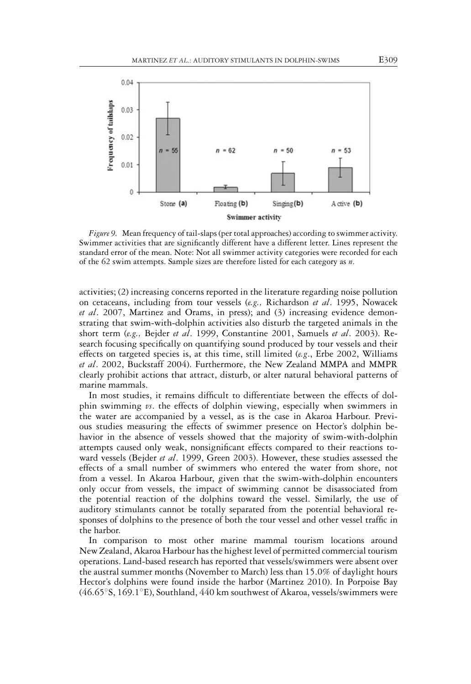

*Figure 9.* Mean frequency of tail-slaps (per total approaches) according to swimmer activity. Swimmer activities that are significantly different have a different letter. Lines represent the standard error of the mean. Note: Not all swimmer activity categories were recorded for each of the 62 swim attempts. Sample sizes are therefore listed for each category as *n*.

activities; (2) increasing concerns reported in the literature regarding noise pollution on cetaceans, including from tour vessels (*e.g.,* Richardson *et al*. 1995, Nowacek *et al*. 2007, Martinez and Orams, in press); and (3) increasing evidence demonstrating that swim-with-dolphin activities also disturb the targeted animals in the short term (*e.g.,* Bejder *et al*. 1999, Constantine 2001, Samuels *et al*. 2003). Research focusing specifically on quantifying sound produced by tour vessels and their effects on targeted species is, at this time, still limited (*e.g*., Erbe 2002, Williams *et al*. 2002, Buckstaff 2004). Furthermore, the New Zealand MMPA and MMPR clearly prohibit actions that attract, disturb, or alter natural behavioral patterns of marine mammals.

In most studies, it remains difficult to differentiate between the effects of dolphin swimming *vs*. the effects of dolphin viewing, especially when swimmers in the water are accompanied by a vessel, as is the case in Akaroa Harbour. Previous studies measuring the effects of swimmer presence on Hector's dolphin behavior in the absence of vessels showed that the majority of swim-with-dolphin attempts caused only weak, nonsignificant effects compared to their reactions toward vessels (Bejder *et al*. 1999, Green 2003). However, these studies assessed the effects of a small number of swimmers who entered the water from shore, not from a vessel. In Akaroa Harbour, given that the swim-with-dolphin encounters only occur from vessels, the impact of swimming cannot be disassociated from the potential reaction of the dolphins toward the vessel. Similarly, the use of auditory stimulants cannot be totally separated from the potential behavioral responses of dolphins to the presence of both the tour vessel and other vessel traffic in the harbor.

In comparison to most other marine mammal tourism locations around New Zealand, Akaroa Harbour has the highest level of permitted commercial tourism operations. Land-based research has reported that vessels/swimmers were absent over the austral summer months (November to March) less than 15.0% of daylight hours Hector's dolphins were found inside the harbor (Martinez 2010). In Porpoise Bay (46.65◦S, 169.1◦E), Southland, 440 km southwest of Akaroa, vessels/swimmers were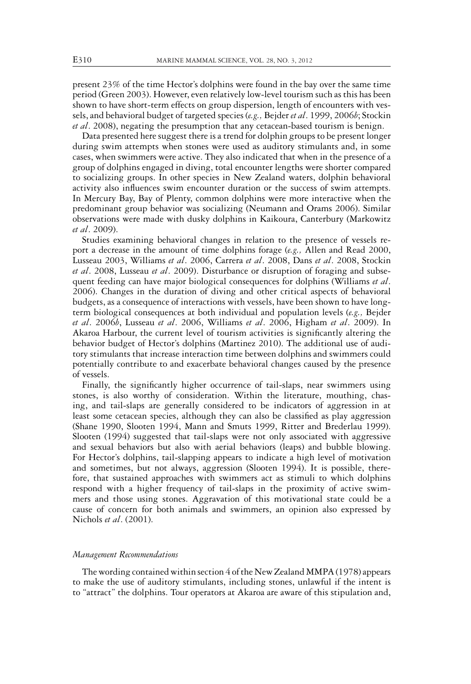present 23% of the time Hector's dolphins were found in the bay over the same time period (Green 2003). However, even relatively low-level tourism such as this has been shown to have short-term effects on group dispersion, length of encounters with vessels, and behavioral budget of targeted species (*e.g.,* Bejder *et al*. 1999, 2006*b*; Stockin *et al*. 2008), negating the presumption that any cetacean-based tourism is benign.

Data presented here suggest there is a trend for dolphin groups to be present longer during swim attempts when stones were used as auditory stimulants and, in some cases, when swimmers were active. They also indicated that when in the presence of a group of dolphins engaged in diving, total encounter lengths were shorter compared to socializing groups. In other species in New Zealand waters, dolphin behavioral activity also influences swim encounter duration or the success of swim attempts. In Mercury Bay, Bay of Plenty, common dolphins were more interactive when the predominant group behavior was socializing (Neumann and Orams 2006). Similar observations were made with dusky dolphins in Kaikoura, Canterbury (Markowitz *et al*. 2009).

Studies examining behavioral changes in relation to the presence of vessels report a decrease in the amount of time dolphins forage (*e.g.,* Allen and Read 2000, Lusseau 2003, Williams *et al*. 2006, Carrera *et al*. 2008, Dans *et al*. 2008, Stockin *et al*. 2008, Lusseau *et al*. 2009). Disturbance or disruption of foraging and subsequent feeding can have major biological consequences for dolphins (Williams *et al*. 2006). Changes in the duration of diving and other critical aspects of behavioral budgets, as a consequence of interactions with vessels, have been shown to have longterm biological consequences at both individual and population levels (*e.g.,* Bejder *et al*. 2006*b*, Lusseau *et al*. 2006, Williams *et al*. 2006, Higham *et al*. 2009). In Akaroa Harbour, the current level of tourism activities is significantly altering the behavior budget of Hector's dolphins (Martinez 2010). The additional use of auditory stimulants that increase interaction time between dolphins and swimmers could potentially contribute to and exacerbate behavioral changes caused by the presence of vessels.

Finally, the significantly higher occurrence of tail-slaps, near swimmers using stones, is also worthy of consideration. Within the literature, mouthing, chasing, and tail-slaps are generally considered to be indicators of aggression in at least some cetacean species, although they can also be classified as play aggression (Shane 1990, Slooten 1994, Mann and Smuts 1999, Ritter and Brederlau 1999). Slooten (1994) suggested that tail-slaps were not only associated with aggressive and sexual behaviors but also with aerial behaviors (leaps) and bubble blowing. For Hector's dolphins, tail-slapping appears to indicate a high level of motivation and sometimes, but not always, aggression (Slooten 1994). It is possible, therefore, that sustained approaches with swimmers act as stimuli to which dolphins respond with a higher frequency of tail-slaps in the proximity of active swimmers and those using stones. Aggravation of this motivational state could be a cause of concern for both animals and swimmers, an opinion also expressed by Nichols *et al*. (2001).

#### *Management Recommendations*

The wording contained within section 4 of the New Zealand MMPA (1978) appears to make the use of auditory stimulants, including stones, unlawful if the intent is to "attract" the dolphins. Tour operators at Akaroa are aware of this stipulation and,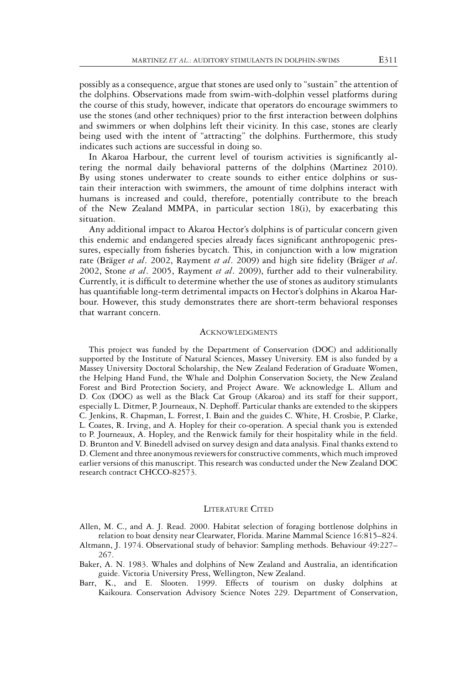possibly as a consequence, argue that stones are used only to "sustain" the attention of the dolphins. Observations made from swim-with-dolphin vessel platforms during the course of this study, however, indicate that operators do encourage swimmers to use the stones (and other techniques) prior to the first interaction between dolphins and swimmers or when dolphins left their vicinity. In this case, stones are clearly being used with the intent of "attracting" the dolphins. Furthermore, this study indicates such actions are successful in doing so.

In Akaroa Harbour, the current level of tourism activities is significantly altering the normal daily behavioral patterns of the dolphins (Martinez 2010). By using stones underwater to create sounds to either entice dolphins or sustain their interaction with swimmers, the amount of time dolphins interact with humans is increased and could, therefore, potentially contribute to the breach of the New Zealand MMPA, in particular section 18(i), by exacerbating this situation.

Any additional impact to Akaroa Hector's dolphins is of particular concern given this endemic and endangered species already faces significant anthropogenic pressures, especially from fisheries bycatch. This, in conjunction with a low migration rate (Bräger et al. 2002, Rayment et al. 2009) and high site fidelity (Bräger et al. 2002, Stone *et al*. 2005, Rayment *et al*. 2009), further add to their vulnerability. Currently, it is difficult to determine whether the use of stones as auditory stimulants has quantifiable long-term detrimental impacts on Hector's dolphins in Akaroa Harbour. However, this study demonstrates there are short-term behavioral responses that warrant concern.

#### **ACKNOWLEDGMENTS**

This project was funded by the Department of Conservation (DOC) and additionally supported by the Institute of Natural Sciences, Massey University. EM is also funded by a Massey University Doctoral Scholarship, the New Zealand Federation of Graduate Women, the Helping Hand Fund, the Whale and Dolphin Conservation Society, the New Zealand Forest and Bird Protection Society, and Project Aware. We acknowledge L. Allum and D. Cox (DOC) as well as the Black Cat Group (Akaroa) and its staff for their support, especially L. Ditmer, P. Journeaux, N. Dephoff. Particular thanks are extended to the skippers C. Jenkins, R. Chapman, L. Forrest, I. Bain and the guides C. White, H. Crosbie, P. Clarke, L. Coates, R. Irving, and A. Hopley for their co-operation. A special thank you is extended to P. Journeaux, A. Hopley, and the Renwick family for their hospitality while in the field. D. Brunton and V. Binedell advised on survey design and data analysis. Final thanks extend to D. Clement and three anonymous reviewers for constructive comments, which much improved earlier versions of this manuscript. This research was conducted under the New Zealand DOC research contract CHCCO-82573.

#### LITERATURE CITED

Allen, M. C., and A. J. Read. 2000. Habitat selection of foraging bottlenose dolphins in relation to boat density near Clearwater, Florida. Marine Mammal Science 16:815–824.

Altmann, J. 1974. Observational study of behavior: Sampling methods. Behaviour 49:227– 267.

- Baker, A. N. 1983. Whales and dolphins of New Zealand and Australia, an identification guide. Victoria University Press, Wellington, New Zealand.
- Barr, K., and E. Slooten. 1999. Effects of tourism on dusky dolphins at Kaikoura. Conservation Advisory Science Notes 229. Department of Conservation,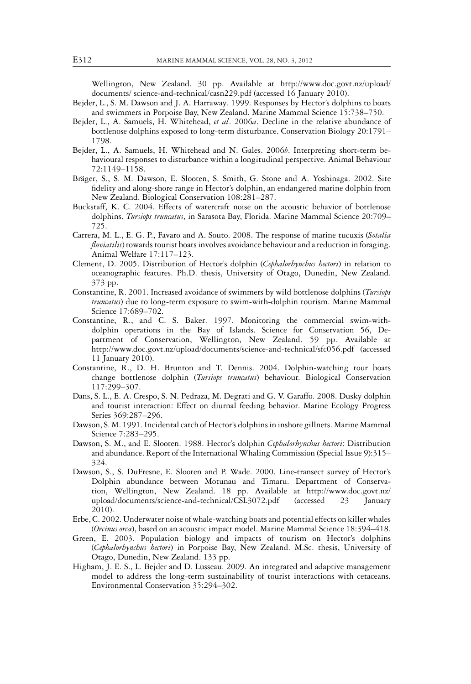Wellington, New Zealand. 30 pp. Available at http://www.doc.govt.nz/upload/ documents/ science-and-technical/casn229.pdf (accessed 16 January 2010).

- Bejder, L., S. M. Dawson and J. A. Harraway. 1999. Responses by Hector's dolphins to boats and swimmers in Porpoise Bay, New Zealand. Marine Mammal Science 15:738–750.
- Bejder, L., A. Samuels, H. Whitehead, *et al*. 2006*a*. Decline in the relative abundance of bottlenose dolphins exposed to long-term disturbance. Conservation Biology 20:1791– 1798.
- Bejder, L., A. Samuels, H. Whitehead and N. Gales. 2006*b*. Interpreting short-term behavioural responses to disturbance within a longitudinal perspective. Animal Behaviour 72:1149–1158.
- Brager, S., S. M. Dawson, E. Slooten, S. Smith, G. Stone and A. Yoshinaga. 2002. Site ¨ fidelity and along-shore range in Hector's dolphin, an endangered marine dolphin from New Zealand. Biological Conservation 108:281–287.
- Buckstaff, K. C. 2004. Effects of watercraft noise on the acoustic behavior of bottlenose dolphins, *Tursiops truncatus*, in Sarasota Bay, Florida. Marine Mammal Science 20:709– 725.
- Carrera, M. L., E. G. P., Favaro and A. Souto. 2008. The response of marine tucuxis (*Sotalia fluviatilis*) towards tourist boats involves avoidance behaviour and a reduction in foraging. Animal Welfare 17:117–123.
- Clement, D. 2005. Distribution of Hector's dolphin (*Cephalorhynchus hectori*) in relation to oceanographic features. Ph.D. thesis, University of Otago, Dunedin, New Zealand. 373 pp.
- Constantine, R. 2001. Increased avoidance of swimmers by wild bottlenose dolphins (*Tursiops truncatus*) due to long-term exposure to swim-with-dolphin tourism. Marine Mammal Science 17:689–702.
- Constantine, R., and C. S. Baker. 1997. Monitoring the commercial swim-withdolphin operations in the Bay of Islands. Science for Conservation 56, Department of Conservation, Wellington, New Zealand. 59 pp. Available at http://www.doc.govt.nz/upload/documents/science-and-technical/sfc056.pdf (accessed 11 January 2010).
- Constantine, R., D. H. Brunton and T. Dennis. 2004. Dolphin-watching tour boats change bottlenose dolphin (*Tursiops truncatus*) behaviour. Biological Conservation 117:299–307.
- Dans, S. L., E. A. Crespo, S. N. Pedraza, M. Degrati and G. V. Garaffo. 2008. Dusky dolphin and tourist interaction: Effect on diurnal feeding behavior. Marine Ecology Progress Series 369:287–296.
- Dawson, S. M. 1991. Incidental catch of Hector's dolphins in inshore gillnets. Marine Mammal Science 7:283–295.
- Dawson, S. M., and E. Slooten. 1988. Hector's dolphin *Cephalorhynchus hectori*: Distribution and abundance. Report of the International Whaling Commission (Special Issue 9):315– 324.
- Dawson, S., S. DuFresne, E. Slooten and P. Wade. 2000. Line-transect survey of Hector's Dolphin abundance between Motunau and Timaru. Department of Conservation, Wellington, New Zealand. 18 pp. Available at http://www.doc.govt.nz/ upload/documents/science-and-technical/CSL3072.pdf (accessed 23 January 2010).
- Erbe, C. 2002. Underwater noise of whale-watching boats and potential effects on killer whales (*Orcinus orca*), based on an acoustic impact model. Marine Mammal Science 18:394–418.
- Green, E. 2003. Population biology and impacts of tourism on Hector's dolphins (*Cephalorhynchus hectori*) in Porpoise Bay, New Zealand. M.Sc. thesis, University of Otago, Dunedin, New Zealand. 133 pp.
- Higham, J. E. S., L. Bejder and D. Lusseau. 2009. An integrated and adaptive management model to address the long-term sustainability of tourist interactions with cetaceans. Environmental Conservation 35:294–302.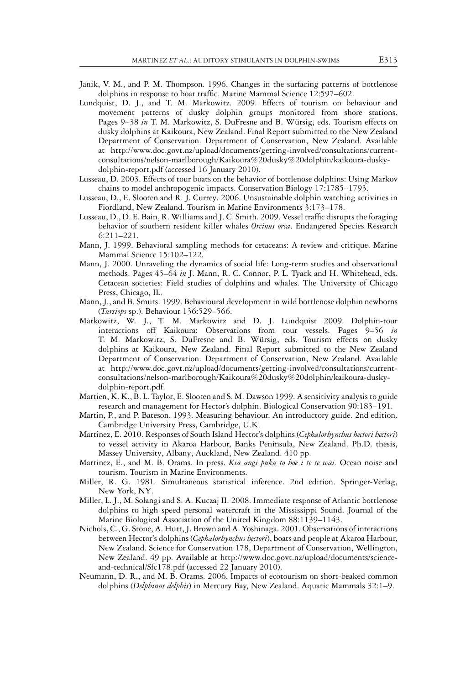- Janik, V. M., and P. M. Thompson. 1996. Changes in the surfacing patterns of bottlenose dolphins in response to boat traffic. Marine Mammal Science 12:597–602.
- Lundquist, D. J., and T. M. Markowitz. 2009. Effects of tourism on behaviour and movement patterns of dusky dolphin groups monitored from shore stations. Pages 9–38 in T. M. Markowitz, S. DuFresne and B. Würsig, eds. Tourism effects on dusky dolphins at Kaikoura, New Zealand. Final Report submitted to the New Zealand Department of Conservation. Department of Conservation, New Zealand. Available at http://www.doc.govt.nz/upload/documents/getting-involved/consultations/currentconsultations/nelson-marlborough/Kaikoura%20dusky%20dolphin/kaikoura-duskydolphin-report.pdf (accessed 16 January 2010).
- Lusseau, D. 2003. Effects of tour boats on the behavior of bottlenose dolphins: Using Markov chains to model anthropogenic impacts. Conservation Biology 17:1785–1793.
- Lusseau, D., E. Slooten and R. J. Currey. 2006. Unsustainable dolphin watching activities in Fiordland, New Zealand. Tourism in Marine Environments 3:173–178.
- Lusseau, D., D. E. Bain, R. Williams and J. C. Smith. 2009. Vessel traffic disrupts the foraging behavior of southern resident killer whales *Orcinus orca*. Endangered Species Research 6:211–221.
- Mann, J. 1999. Behavioral sampling methods for cetaceans: A review and critique. Marine Mammal Science 15:102–122.
- Mann, J. 2000. Unraveling the dynamics of social life: Long-term studies and observational methods. Pages 45–64 *in* J. Mann, R. C. Connor, P. L. Tyack and H. Whitehead, eds. Cetacean societies: Field studies of dolphins and whales. The University of Chicago Press, Chicago, IL.
- Mann, J., and B. Smuts. 1999. Behavioural development in wild bottlenose dolphin newborns (*Tursiops* sp.). Behaviour 136:529–566.
- Markowitz, W. J., T. M. Markowitz and D. J. Lundquist 2009. Dolphin-tour interactions off Kaikoura: Observations from tour vessels. Pages 9–56 *in* T. M. Markowitz, S. DuFresne and B. Würsig, eds. Tourism effects on dusky dolphins at Kaikoura, New Zealand. Final Report submitted to the New Zealand Department of Conservation. Department of Conservation, New Zealand. Available at http://www.doc.govt.nz/upload/documents/getting-involved/consultations/currentconsultations/nelson-marlborough/Kaikoura%20dusky%20dolphin/kaikoura-duskydolphin-report.pdf.
- Martien, K. K., B. L. Taylor, E. Slooten and S. M. Dawson 1999. A sensitivity analysis to guide research and management for Hector's dolphin. Biological Conservation 90:183–191.
- Martin, P., and P. Bateson. 1993. Measuring behaviour. An introductory guide. 2nd edition. Cambridge University Press, Cambridge, U.K.
- Martinez, E. 2010. Responses of South Island Hector's dolphins (*Cephalorhynchus hectori hectori*) to vessel activity in Akaroa Harbour, Banks Peninsula, New Zealand. Ph.D. thesis, Massey University, Albany, Auckland, New Zealand. 410 pp.
- Martinez, E., and M. B. Orams. In press. *Kia angi puku to hoe i te te wai.* Ocean noise and tourism. Tourism in Marine Environments.
- Miller, R. G. 1981. Simultaneous statistical inference. 2nd edition. Springer-Verlag, New York, NY.
- Miller, L. J., M. Solangi and S. A. Kuczaj II. 2008. Immediate response of Atlantic bottlenose dolphins to high speed personal watercraft in the Mississippi Sound. Journal of the Marine Biological Association of the United Kingdom 88:1139–1143.
- Nichols, C., G. Stone, A. Hutt, J. Brown and A. Yoshinaga. 2001. Observations of interactions between Hector's dolphins (*Cephalorhynchus hectori*), boats and people at Akaroa Harbour, New Zealand. Science for Conservation 178, Department of Conservation, Wellington, New Zealand. 49 pp. Available at http://www.doc.govt.nz/upload/documents/scienceand-technical/Sfc178.pdf (accessed 22 January 2010).
- Neumann, D. R., and M. B. Orams. 2006. Impacts of ecotourism on short-beaked common dolphins (*Delphinus delphis*) in Mercury Bay, New Zealand. Aquatic Mammals 32:1–9.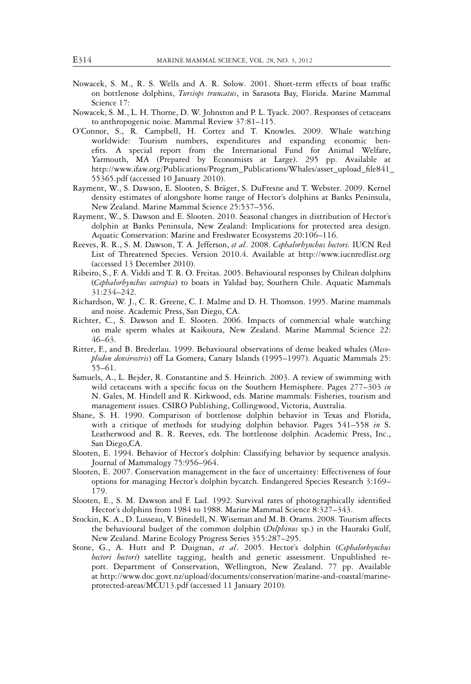- Nowacek, S. M., R. S. Wells and A. R. Solow. 2001. Short-term effects of boat traffic on bottlenose dolphins, *Tursiops truncatus*, in Sarasota Bay, Florida. Marine Mammal Science 17:
- Nowacek, S. M., L. H. Thorne, D. W. Johnston and P. L. Tyack. 2007. Responses of cetaceans to anthropogenic noise. Mammal Review 37:81–115.
- O'Connor, S., R. Campbell, H. Cortez and T. Knowles. 2009. Whale watching worldwide: Tourism numbers, expenditures and expanding economic benefits. A special report from the International Fund for Animal Welfare, Yarmouth, MA (Prepared by Economists at Large). 295 pp. Available at http://www.ifaw.org/Publications/Program\_Publications/Whales/asset\_upload\_file841\_ 55365.pdf (accessed 10 January 2010).
- Rayment, W., S. Dawson, E. Slooten, S. Bräger, S. DuFresne and T. Webster. 2009. Kernel density estimates of alongshore home range of Hector's dolphins at Banks Peninsula, New Zealand. Marine Mammal Science 25:537–556.
- Rayment, W., S. Dawson and E. Slooten. 2010. Seasonal changes in distribution of Hector's dolphin at Banks Peninsula, New Zealand: Implications for protected area design. Aquatic Conservation: Marine and Freshwater Ecosystems 20:106–116.
- Reeves, R. R., S. M. Dawson, T. A. Jefferson, *et al*. 2008. *Cephalorhynchus hectori.* IUCN Red List of Threatened Species. Version 2010.4. Available at http://www.iucnredlist.org (accessed 13 December 2010).
- Ribeiro, S., F. A. Viddi and T. R. O. Freitas. 2005. Behavioural responses by Chilean dolphins (*Cephalorhynchus eutropia*) to boats in Yaldad bay, Southern Chile. Aquatic Mammals 31:234–242.
- Richardson, W. J., C. R. Greene, C. I. Malme and D. H. Thomson. 1995. Marine mammals and noise. Academic Press, San Diego, CA.
- Richter, C., S. Dawson and E. Slooten. 2006. Impacts of commercial whale watching on male sperm whales at Kaikoura, New Zealand. Marine Mammal Science 22: 46–63.
- Ritter, F., and B. Brederlau. 1999. Behavioural observations of dense beaked whales (*Mesoplodon densirostris*) off La Gomera, Canary Islands (1995–1997). Aquatic Mammals 25: 55–61.
- Samuels, A., L. Bejder, R. Constantine and S. Heinrich. 2003. A review of swimming with wild cetaceans with a specific focus on the Southern Hemisphere. Pages 277–303 *in* N. Gales, M. Hindell and R. Kirkwood, eds. Marine mammals: Fisheries, tourism and management issues. CSIRO Publishing, Collingwood, Victoria, Australia.
- Shane, S. H. 1990. Comparison of bottlenose dolphin behavior in Texas and Florida, with a critique of methods for studying dolphin behavior. Pages 541–558 *in* S. Leatherwood and R. R. Reeves, eds. The bottlenose dolphin. Academic Press, Inc., San Diego,CA.
- Slooten, E. 1994. Behavior of Hector's dolphin: Classifying behavior by sequence analysis. Journal of Mammalogy 75:956–964.
- Slooten, E. 2007. Conservation management in the face of uncertainty: Effectiveness of four options for managing Hector's dolphin bycatch. Endangered Species Research 3:169– 179.
- Slooten, E., S. M. Dawson and F. Lad. 1992. Survival rates of photographically identified Hector's dolphins from 1984 to 1988. Marine Mammal Science 8:327–343.
- Stockin, K. A., D. Lusseau, V. Binedell, N. Wiseman and M. B. Orams. 2008. Tourism affects the behavioural budget of the common dolphin (*Delphinus* sp.) in the Hauraki Gulf, New Zealand. Marine Ecology Progress Series 355:287–295.
- Stone, G., A. Hutt and P. Duignan, *et al*. 2005. Hector's dolphin (*Cephalorhynchus hectori hectori*) satellite tagging, health and genetic assessment. Unpublished report. Department of Conservation, Wellington, New Zealand. 77 pp. Available at http://www.doc.govt.nz/upload/documents/conservation/marine-and-coastal/marineprotected-areas/MCU13.pdf (accessed 11 January 2010).